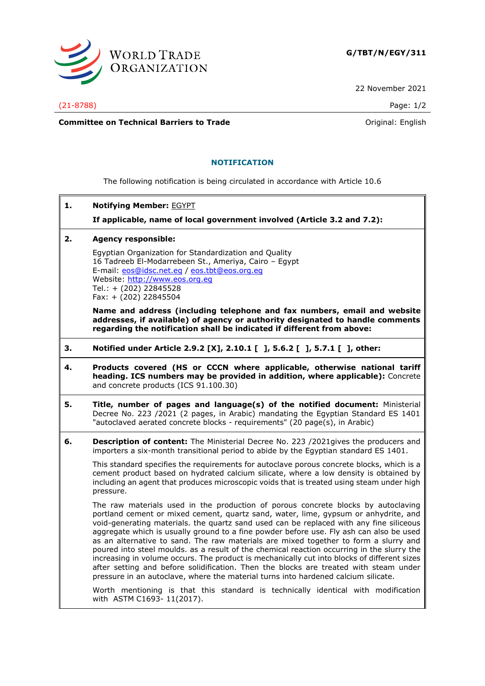

22 November 2021

(21-8788) Page: 1/2

**Committee on Technical Barriers to Trade Committee on Technical Barriers to Trade Original:** English

## **NOTIFICATION**

The following notification is being circulated in accordance with Article 10.6

**1. Notifying Member:** EGYPT

**If applicable, name of local government involved (Article 3.2 and 7.2):**

## **2. Agency responsible:**

Egyptian Organization for Standardization and Quality 16 Tadreeb El-Modarrebeen St., Ameriya, Cairo – Egypt E-mail: [eos@idsc.net.eg](mailto:eos@idsc.net.eg) / [eos.tbt@eos.org.eg](mailto:eos.tbt@eos.org.eg) Website: [http://www.eos.org.eg](http://www.eos.org.eg/) Tel.: + (202) 22845528 Fax: + (202) 22845504

**Name and address (including telephone and fax numbers, email and website addresses, if available) of agency or authority designated to handle comments regarding the notification shall be indicated if different from above:**

- **3. Notified under Article 2.9.2 [X], 2.10.1 [ ], 5.6.2 [ ], 5.7.1 [ ], other:**
- **4. Products covered (HS or CCCN where applicable, otherwise national tariff heading. ICS numbers may be provided in addition, where applicable):** Concrete and concrete products (ICS 91.100.30)
- **5. Title, number of pages and language(s) of the notified document:** Ministerial Decree No. 223 /2021 (2 pages, in Arabic) mandating the Egyptian Standard ES 1401 "autoclaved aerated concrete blocks - requirements" (20 page(s), in Arabic)
- **6. Description of content:** The Ministerial Decree No. 223 /2021gives the producers and importers a six-month transitional period to abide by the Egyptian standard ES 1401.

This standard specifies the requirements for autoclave porous concrete blocks, which is a cement product based on hydrated calcium silicate, where a low density is obtained by including an agent that produces microscopic voids that is treated using steam under high pressure.

The raw materials used in the production of porous concrete blocks by autoclaving portland cement or mixed cement, quartz sand, water, lime, gypsum or anhydrite, and void-generating materials. the quartz sand used can be replaced with any fine siliceous aggregate which is usually ground to a fine powder before use. Fly ash can also be used as an alternative to sand. The raw materials are mixed together to form a slurry and poured into steel moulds. as a result of the chemical reaction occurring in the slurry the increasing in volume occurs. The product is mechanically cut into blocks of different sizes after setting and before solidification. Then the blocks are treated with steam under pressure in an autoclave, where the material turns into hardened calcium silicate.

Worth mentioning is that this standard is technically identical with modification with ASTM C1693- 11(2017).